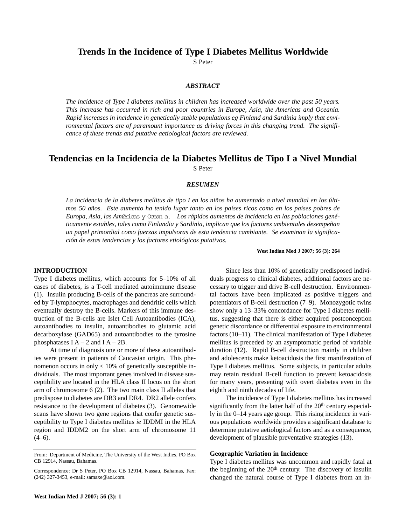# **Trends In the Incidence of Type I Diabetes Mellitus Worldwide**

S Peter

### *ABSTRACT*

*The incidence of Type I diabetes mellitus in children has increased worldwide over the past 50 years. This increase has occurred in rich and poor countries in Europe, Asia, the Americas and Oceania. Rapid increases in incidence in genetically stable populations eg Finland and Sardinia imply that environmental factors are of paramount importance as driving forces in this changing trend. The significance of these trends and putative aetiological factors are reviewed.*

# **Tendencias en la Incidencia de la Diabetes Mellitus de Tipo I a Nivel Mundial** S Peter

#### *RESUMEN*

*La incidencia de la diabetes mellitus de tipo I en los niños ha aumentado a nivel mundial en los últimos 50 años. Este aumento ha tenido lugar tanto en los países ricos como en los países pobres de Europa, Asia, las Am*Øricas y Ocean a. *Los rápidos aumentos de incidencia en las poblaciones genéticamente estables, tales como Finlandia y Sardinia, implican que los factores ambientales desempeñan un papel primordial como fuerzas impulsoras de esta tendencia cambiante. Se examinan la significación de estas tendencias y los factores etiológicos putativos.* 

**West Indian Med J 2007; 56 (3): 264**

### **INTRODUCTION**

Type I diabetes mellitus, which accounts for 5–10% of all cases of diabetes, is a T-cell mediated autoimmune disease (1). Insulin producing B-cells of the pancreas are surrounded by T-lymphocytes, macrophages and dendritic cells which eventually destroy the B-cells. Markers of this immune destruction of the B-cells are Islet Cell Autoantibodies (ICA), autoantibodies to insulin, autoantibodies to glutamic acid decarboxylase (GAD65) and autoantibodies to the tyrosine phosphatases  $I A - 2$  and  $I A - 2B$ .

At time of diagnosis one or more of these autoantibodies were present in patients of Caucasian origin. This phenomenon occurs in only < 10% of genetically susceptible individuals. The most important genes involved in disease susceptibility are located in the HLA class II locus on the short arm of chromosome 6 (2). The two main class II alleles that predispose to diabetes are DR3 and DR4. DR2 allele confers resistance to the development of diabetes (3). Genomewide scans have shown two gene regions that confer genetic susceptibility to Type I diabetes mellitus *ie* IDDMI in the HLA region and IDDM2 on the short arm of chromosome 11  $(4-6)$ .

Since less than 10% of genetically predisposed individuals progress to clinical diabetes, additional factors are necessary to trigger and drive B-cell destruction. Environmental factors have been implicated as positive triggers and potentiators of B-cell destruction (7–9). Monozygotic twins show only a 13–33% concordance for Type I diabetes mellitus, suggesting that there is either acquired postconception genetic discordance or differential exposure to environmental factors (10–11). The clinical manifestation of Type I diabetes mellitus is preceded by an asymptomatic period of variable duration (12). Rapid B-cell destruction mainly in children and adolescents make ketoacidosis the first manifestation of Type I diabetes mellitus. Some subjects, in particular adults may retain residual B-cell function to prevent ketoacidosis for many years, presenting with overt diabetes even in the eighth and ninth decades of life.

The incidence of Type I diabetes mellitus has increased significantly from the latter half of the 20<sup>th</sup> century especially in the 0–14 years age group. This rising incidence in various populations worldwide provides a significant database to determine putative aetiological factors and as a consequence, development of plausible preventative strategies (13).

#### **Geographic Variation in Incidence**

Type I diabetes mellitus was uncommon and rapidly fatal at the beginning of the  $20<sup>th</sup>$  century. The discovery of insulin changed the natural course of Type I diabetes from an in-

From: Department of Medicine, The University of the West Indies, PO Box CB 12914, Nassau, Bahamas.

Correspondence: Dr S Peter, PO Box CB 12914, Nassau, Bahamas, Fax: (242) 327-3453, e-mail: samaxe@aol.com.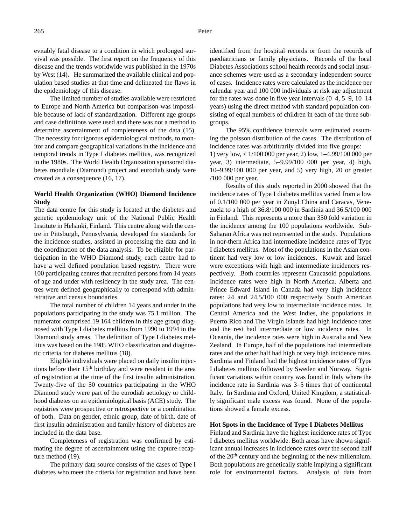evitably fatal disease to a condition in which prolonged survival was possible. The first report on the frequency of this disease and the trends worldwide was published in the 1970s by West (14). He summarized the available clinical and population based studies at that time and delineated the flaws in the epidemiology of this disease.

The limited number of studies available were restricted to Europe and North America but comparison was impossible because of lack of standardization. Different age groups and case definitions were used and there was not a method to determine ascertainment of completeness of the data (15). The necessity for rigorous epidemiological methods, to monitor and compare geographical variations in the incidence and temporal trends in Type I diabetes mellitus, was recognized in the 1980s. The World Health Organization sponsored diabetes mondiale (Diamond) project and eurodiab study were created as a consequence (16, 17).

### **World Health Organization (WHO) Diamond Incidence Study**

The data centre for this study is located at the diabetes and genetic epidemiology unit of the National Public Health Institute in Helsinki, Finland. This centre along with the centre in Pittsburgh, Pennsylvania, developed the standards for the incidence studies, assisted in processing the data and in the coordination of the data analysis. To be eligible for participation in the WHO Diamond study, each centre had to have a well defined population based registry. There were 100 participating centres that recruited persons from 14 years of age and under with residency in the study area. The centres were defined geographically to correspond with administrative and census boundaries.

The total number of children 14 years and under in the populations participating in the study was 75.1 million. The numerator comprised 19 164 children in this age group diagnosed with Type I diabetes mellitus from 1990 to 1994 in the Diamond study areas. The definition of Type I diabetes mellitus was based on the 1985 WHO classification and diagnostic criteria for diabetes mellitus (18).

Eligible individuals were placed on daily insulin injections before their 15th birthday and were resident in the area of registration at the time of the first insulin administration. Twenty-five of the 50 countries participating in the WHO Diamond study were part of the eurodiab aetiology or childhood diabetes on an epidemiological basis (ACE) study. The registries were prospective or retrospective or a combination of both. Data on gender, ethnic group, date of birth, date of first insulin administration and family history of diabetes are included in the data base.

Completeness of registration was confirmed by estimating the degree of ascertainment using the capture-recapture method (19).

The primary data source consists of the cases of Type I diabetes who meet the criteria for registration and have been identified from the hospital records or from the records of paediatricians or family physicians. Records of the local Diabetes Associations school health records and social insurance schemes were used as a secondary independent source of cases. Incidence rates were calculated as the incidence per calendar year and 100 000 individuals at risk age adjustment for the rates was done in five year intervals (0–4, 5–9, 10–14 years) using the direct method with standard population consisting of equal numbers of children in each of the three subgroups.

The 95% confidence intervals were estimated assuming the poisson distribution of the cases. The distribution of incidence rates was arbititrarily divided into five groups: 1) very low, < 1/100 000 per year, 2) low, 1–4.99/100 000 per year, 3) intermediate, 5–9.99/100 000 per year, 4) high, 10–9.99/100 000 per year, and 5) very high, 20 or greater /100 000 per year.

Results of this study reported in 2000 showed that the incidence rates of Type I diabetes mellitus varied from a low of 0.1/100 000 per year in Zunyl China and Caracas, Venezuela to a high of 36.8/100 000 in Sardinia and 36.5/100 000 in Finland. This represents a more than 350 fold variation in the incidence among the 100 populations worldwide. Sub-Saharan Africa was not represented in the study. Populations in nor-thern Africa had intermediate incidence rates of Type I diabetes mellitus. Most of the populations in the Asian continent had very low or low incidences. Kuwait and Israel were exceptions with high and intermediate incidences respectively. Both countries represent Caucasoid populations. Incidence rates were high in North America. Alberta and Prince Edward Island in Canada had very high incidence rates: 24 and 24.5/100 000 respectively. South American populations had very low to intermediate incidence rates. In Central America and the West Indies, the populations in Puerto Rico and The Virgin Islands had high incidence rates and the rest had intermediate or low incidence rates. In Oceania, the incidence rates were high in Australia and New Zealand. In Europe, half of the populations had intermediate rates and the other half had high or very high incidence rates. Sardinia and Finland had the highest incidence rates of Type I diabetes mellitus followed by Sweden and Norway. Significant variations within country was found in Italy where the incidence rate in Sardinia was 3–5 times that of continental Italy. In Sardinia and Oxford, United Kingdom, a statistically significant male excess was found. None of the populations showed a female excess.

#### **Hot Spots in the Incidence of Type I Diabetes Mellitus**

Finland and Sardinia have the highest incidence rates of Type I diabetes mellitus worldwide. Both areas have shown significant annual increases in incidence rates over the second half of the 20<sup>th</sup> century and the beginning of the new millennium. Both populations are genetically stable implying a significant role for environmental factors. Analysis of data from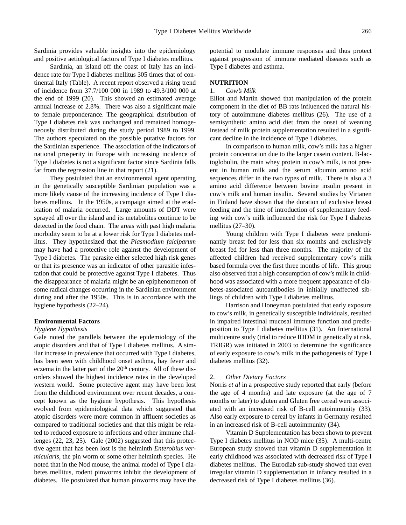Sardinia provides valuable insights into the epidemiology and positive aetiological factors of Type I diabetes mellitus.

Sardinia, an island off the coast of Italy has an incidence rate for Type I diabetes mellitus 305 times that of continental Italy (Table). A recent report observed a rising trend of incidence from 37.7/100 000 in 1989 to 49.3/100 000 at the end of 1999 (20). This showed an estimated average annual increase of 2.8%. There was also a significant male to female preponderance. The geographical distribution of Type I diabetes risk was unchanged and remained homogeneously distributed during the study period 1989 to 1999. The authors speculated on the possible putative factors for the Sardinian experience. The association of the indicators of national prosperity in Europe with increasing incidence of Type I diabetes is not a significant factor since Sardinia falls far from the regression line in that report (21).

They postulated that an environmental agent operating in the genetically susceptible Sardinian population was a more likely cause of the increasing incidence of Type I diabetes mellitus. In the 1950s, a campaign aimed at the eradication of malaria occurred. Large amounts of DDT were sprayed all over the island and its metabolites continue to be detected in the food chain. The areas with past high malaria morbidity seem to be at a lower risk for Type I diabetes mellitus. They hypothesized that the *Plasmodium falciparum* may have had a protective role against the development of Type I diabetes. The parasite either selected high risk genes or that its presence was an indicator of other parasitic infestation that could be protective against Type I diabetes. Thus the disappearance of malaria might be an epiphenomenon of some radical changes occurring in the Sardinian environment during and after the 1950s. This is in accordance with the hygiene hypothesis (22–24).

#### **Environmental Factors**

#### *Hygiene Hypothesis*

Gale noted the parallels between the epidemiology of the atopic disorders and that of Type I diabetes mellitus. A similar increase in prevalence that occurred with Type I diabetes, has been seen with childhood onset asthma, hay fever and eczema in the latter part of the  $20<sup>th</sup>$  century. All of these disorders showed the highest incidence rates in the developed western world. Some protective agent may have been lost from the childhood environment over recent decades, a concept known as the hygiene hypothesis. This hypothesis evolved from epidemiological data which suggested that atopic disorders were more common in affluent societies as compared to traditional societies and that this might be related to reduced exposure to infections and other immune challenges (22, 23, 25). Gale (2002) suggested that this protective agent that has been lost is the helminth *Enterobius vermicularis,* the pin worm or some other helminth species. He noted that in the Nod mouse, the animal model of Type I diabetes mellitus, rodent pinworms inhibit the development of diabetes. He postulated that human pinworms may have the

potential to modulate immune responses and thus protect against progression of immune mediated diseases such as Type I diabetes and asthma.

### **NUTRITION**

### 1. *Cow's Milk*

Elliot and Martin showed that manipulation of the protein component in the diet of BB rats influenced the natural history of autoimmune diabetes mellitus (26). The use of a semisynthetic amino acid diet from the onset of weaning instead of milk protein supplementation resulted in a significant decline in the incidence of Type I diabetes.

In comparison to human milk, cow's milk has a higher protein concentration due to the larger casein content. B-lactoglobulin, the main whey protein in cow's milk, is not present in human milk and the serum albumin amino acid sequences differ in the two types of milk. There is also a 3 amino acid difference between bovine insulin present in cow's milk and human insulin. Several studies by Virtanen in Finland have shown that the duration of exclusive breast feeding and the time of introduction of supplementary feeding with cow's milk influenced the risk for Type I diabetes mellitus (27–30).

Young children with Type I diabetes were predominantly breast fed for less than six months and exclusively breast fed for less than three months. The majority of the affected children had received supplementary cow's milk based formula over the first three months of life. This group also observed that a high consumption of cow's milk in childhood was associated with a more frequent appearance of diabetes-associated autoantibodies in initially unaffected siblings of children with Type I diabetes mellitus.

Harrison and Honeyman postulated that early exposure to cow's milk, in genetically susceptible individuals, resulted in impaired intestinal mucosal immune function and predisposition to Type I diabetes mellitus (31). An International multicentre study (trial to reduce IDDM in genetically at risk, TRIGR) was initiated in 2003 to determine the significance of early exposure to cow's milk in the pathogenesis of Type I diabetes mellitus (32).

#### 2. *Other Dietary Factors*

Norris *et al* in a prospective study reported that early (before the age of 4 months) and late exposure (at the age of 7 months or later) to gluten and Gluten free cereal were associated with an increased risk of B-cell autoimmunity (33). Also early exposure to cereal by infants in Germany resulted in an increased risk of B-cell autoimmunity (34).

Vitamin D Supplementation has been shown to prevent Type I diabetes mellitus in NOD mice (35). A multi-centre European study showed that vitamin D supplementation in early childhood was associated with decreased risk of Type I diabetes mellitus. The Eurodiab sub-study showed that even irregular vitamin D supplementation in infancy resulted in a decreased risk of Type I diabetes mellitus (36).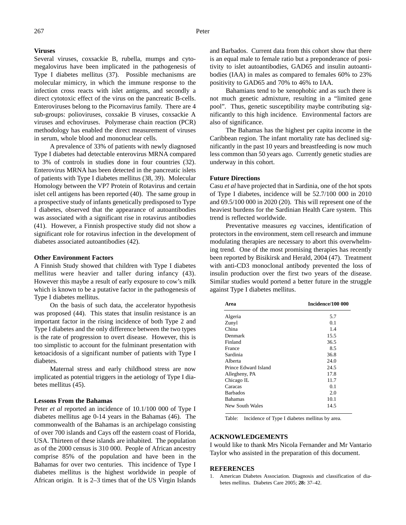# **Viruses**

Several viruses, coxsackie B, rubella, mumps and cytomegalovirus have been implicated in the pathogenesis of Type I diabetes mellitus (37). Possible mechanisms are molecular mimicry, in which the immune response to the infection cross reacts with islet antigens, and secondly a direct cytotoxic effect of the virus on the pancreatic B-cells. Enteroviruses belong to the Picornavirus family. There are 4 sub-groups: polioviruses, coxsakie B viruses, coxsackie A viruses and echoviruses. Polymerase chain reaction (PCR) methodology has enabled the direct measurement of viruses in serum, whole blood and mononuclear cells.

A prevalence of 33% of patients with newly diagnosed Type I diabetes had detectable enterovirus MRNA compared to 3% of controls in studies done in four countries (32). Enterovirus MRNA has been detected in the pancreatic islets of patients with Type I diabetes mellitus (38, 39). Molecular Homology between the VP7 Protein of Rotavirus and certain islet cell antigens has been reported (40). The same group in a prospective study of infants genetically predisposed to Type I diabetes, observed that the appearance of autoantibodies was associated with a significant rise in rotavirus antibodies (41). However, a Finnish prospective study did not show a significant role for rotavirus infection in the development of diabetes associated autoantibodies (42).

#### **Other Environment Factors**

A Finnish Study showed that children with Type I diabetes mellitus were heavier and taller during infancy (43). However this maybe a result of early exposure to cow's milk which is known to be a putative factor in the pathogenesis of Type I diabetes mellitus.

On the basis of such data, the accelerator hypothesis was proposed (44). This states that insulin resistance is an important factor in the rising incidence of both Type 2 and Type I diabetes and the only difference between the two types is the rate of progression to overt disease. However, this is too simplistic to account for the fulminant presentation with ketoacidosis of a significant number of patients with Type I diabetes.

Maternal stress and early childhood stress are now implicated as potential triggers in the aetiology of Type I diabetes mellitus (45).

### **Lessons From the Bahamas**

Peter *et al* reported an incidence of 10.1/100 000 of Type I diabetes mellitus age 0-14 years in the Bahamas (46). The commonwealth of the Bahamas is an archipelago consisting of over 700 islands and Cays off the eastern coast of Florida, USA. Thirteen of these islands are inhabited. The population as of the 2000 census is 310 000. People of African ancestry comprise 85% of the population and have been in the Bahamas for over two centuries. This incidence of Type I diabetes mellitus is the highest worldwide in people of African origin. It is 2–3 times that of the US Virgin Islands

and Barbados. Current data from this cohort show that there is an equal male to female ratio but a preponderance of positivity to islet autoantibodies, GAD65 and insulin autoantibodies (IAA) in males as compared to females 60% to 23% positivity to GAD65 and 70% to 46% to IAA.

Bahamians tend to be xenophobic and as such there is not much genetic admixture, resulting in a "limited gene pool". Thus, genetic susceptibility maybe contributing significantly to this high incidence. Environmental factors are also of significance.

The Bahamas has the highest per capita income in the Caribbean region. The infant mortality rate has declined significantly in the past 10 years and breastfeeding is now much less common than 50 years ago. Currently genetic studies are underway in this cohort.

### **Future Directions**

Casu *et al* have projected that in Sardinia, one of the hot spots of Type I diabetes, incidence will be 52.7/100 000 in 2010 and 69.5/100 000 in 2020 (20). This will represent one of the heaviest burdens for the Sardinian Health Care system. This trend is reflected worldwide.

Preventative measures *eg* vaccines, identification of protectors in the environment, stem cell research and immune modulating therapies are necessary to abort this overwhelming trend. One of the most promising therapies has recently been reported by Bisikirsk and Herald, 2004 (47). Treatment with anti-CD3 monoclonal antibody prevented the loss of insulin production over the first two years of the disease. Similar studies would portend a better future in the struggle against Type I diabetes mellitus.

| Area                 | Incidence/100 000 |
|----------------------|-------------------|
| Algeria              | 5.7               |
| Zunyl                | 0.1               |
| China                | 1.4               |
| Denmark              | 15.5              |
| Finland              | 36.5              |
| France               | 8.5               |
| Sardinia             | 36.8              |
| Alberta              | 24.0              |
| Prince Edward Island | 24.5              |
| Allegheny, PA        | 17.8              |
| Chicago IL           | 11.7              |
| Caracas              | 0.1               |
| <b>Barbados</b>      | 2.0               |
| <b>Bahamas</b>       | 10.1              |
| New South Wales      | 14.5              |

Table: Incidence of Type I diabetes mellitus by area.

# **ACKNOWLEDGEMENTS**

I would like to thank Mrs Nicola Fernander and Mr Vantario Taylor who assisted in the preparation of this document.

#### **REFERENCES**

1. American Diabetes Association. Diagnosis and classification of diabetes mellitus. Diabetes Care 2005; **28:** 37–42.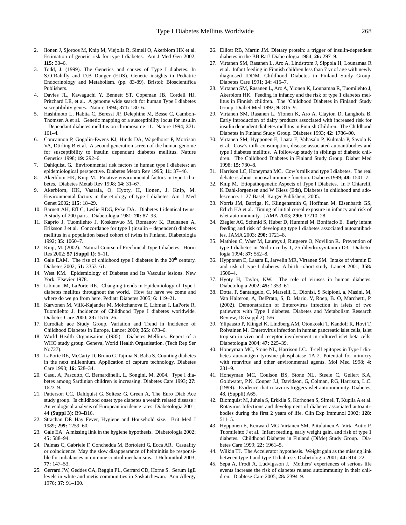- 2. Ilonen J, Sjoroos M, Knip M, Viejolla R, Simell O, Akerblom HK et al. Estimation of genetic risk for type I diabetes. Am J Med Gen 2002; **115:** 30–6.
- 3. Todd, J. (1999). The Genetics and causes of Type I diabetes. In S.O'Rahilly and D.B Dunger (EDS). Genetic insights in Pediatric Endocrinology and Metabolism. (pp. 83-89). Bristol: Bioscientifica Publishers.
- 4. Davies JL, Kawaguchi Y, Bennett ST, Copeman JB, Cordell HJ, Pritchard LE, et al. A genome wide search for human Type I diabetes susceptibility genes. Nature 1994; **371:** 130–6.
- 5. Hashimoto L, Habita C, Beressi JP, Delephine M, Besse C, Cambon-Thomsen A et al. Genetic mapping of a susceptibility locus for insulin – Dependant diabetes mellitus on chromosome 11. Nature 1994; **371:** 161–4.
- 6. Concannon P, Gogolin-Ewens KJ, Hinds DA, Wapelhorst P, Morrison VA, Dtirling B et al. A second generation screen of the human genome for susceptibility to insulin dependant diabetes mellitus. Nature Genetics 1998; **19:** 292–6.
- 7. Dahlquist, G. Environmental risk factors in human type I diabetes: an epidemiological perspective. Diabetes Metab Rev 1995; **11:** 37–46.
- Akerblom HK, Knip M. Putative environmental factors in type I diabetes. Diabetes Metab Rev 1998; **14:** 31–67.
- 9. Akerblom, HK, Vaarala, O, Hyoty, H, Ilonen, J, Knip, M. Environmental factors in the etiology of type I diabetes. Am J Med Genet 2002; **115:** 18–29.
- 10. Barnett AH, Eff C, Leslie RDG, Pyke DA. Diabetes I identical twins. A study of 200 pairs. Diabetologia 1981; **20:** 87–93.
- 11. Kaprio J, Tuomilehto J, Koskenvuo M, Romanov K, Reunanen A, Eriksson J et al. Concordance for type I (insulin – dependent) diabetes mellitus in a population based cohort of twins in Finland. Diabetologia 1992; **35:** 1060–7.
- 12. Knip, M. (2002). Natural Course of Preclinical Type I diabetes. Horm Res 2002: **57 (Suppl 1)**: 6–11.
- 13. Gale EAM. The rise of childhood type I diabetes in the  $20<sup>th</sup>$  century. Diabetes 2002; **51:** 3353–61.
- 14. West KM. Epidemiology of Diabetes and Its Vascular lesions. New York. Elsevier 1978.
- 15. Libman IM, LaPorte RE. Changing trends in Epidemiology of Type I diabetes mellitus throughout the world. How far have we come and where do we go from here. Pediatr Diabetes 2005; **6:** 119–21.
- 16. Karvonen M, ViiK-Kajander M, Moltchanova E, Libman I, LaPorte R, Tuomilehto J. Incidence of Childhood Type I diabetes worldwide. Diabetes Care 2000; **23:** 1516–26.
- 17. Eurodiab ace Study Group. Variation and Trend in Incidence of Childhood Diabetes in Europe. Lancet 2000; **355:** 873–6.
- 18. World Health Organisation (1985). Diabetes Mellitus. Report of a WHO study group. Geneva, World Health Organisation. (Tech Rep Ser No727).
- 19. LaPorte RE, McCarty D, Bruno G, Tajima N, Baba S. Counting diabetes in the next millennium. Application of capture technology. Diabetes Care 1993; **16:** 528–34.
- 20. Casu, A, Pascutto, C, Bernardinelli, L, Songini, M. 2004. Type I diabetes among Sardinian children is increasing. Diabetes Care 1993; **27:** 1623–9.
- 21. Patterson CC, Dahlquist G, Soltesz G, Green A, The Euro Diab Ace study group. Is childhood onset type diabetes a wealth related disease : An ecological analysis of European incidence rates. Diabetologia 2001; **44 (Suppl 3):** B9–B16.
- 22. Strachan DP. Hay Fever, Hygiene and Household size. Brit Med J 1989; **299:** 1259–60.
- 23. Gale EA. A missing link in the hygiene hypothesis. Diabetologia 2002; **45:** 588–94.
- 24. Palmas C, Gabriele F, Conchedda M, Bortoletti G, Ecca AR. Casuality or coincidence. May the slow disappearance of helminitis be responsible for imbalances in immune control mechanisms. J Helminthol 2003; **77:** 147–53.
- 25. Gerrard JW, Geddes CA, Reggin PL, Gerrard CD, Horne S. Serum 1gE levels in white and metis communities in Saskatchewan. Ann Allergy 1976; **37:** 91–100.
- 26. Elliott RB, Martin JM. Dietary protein: a trigger of insulin-dependent diabetes in the BB Rat? Diabetologia 1984; **26:** 297–9.
- 27. Virtanen SM, Rasanen L, Aro A, Lindstrom J, Sippola H, Lounamaa R et al. Infant feeding in Finnish children less than 7 yr of age with newly diagnosed IDDM. Childhood Diabetes in Finland Study Group. Diabetes Care 1991; **14:** 415–7.
- 28. Virtanen SM, Rasanen L, Aro A, Ylonen K, Lounamaa R, Tuomilehto J, Akerblom HK. Feeding in infancy and the risk of type 1 diabetes mellitus in Finnish children. The 'Childhood Diabetes in Finland' Study Group. Diabet Med 1992; **9:** 815–9.
- 29. Virtanen SM, Rasanen L, Ylonen K, Aro A, Clayton D, Langholz B. Early introduction of dairy products associated with increased risk for insulin dependent diabetes mellitus in Finnish Children. The Childhood Diabetes in Finland Study Group. Diabetes 1993; **42:** 1786–90.
- 30. Virtanen SM, Hypponen E, Laara E, Vahasalo P, Kulmala P, Savola K et al. Cow's milk consumption, disease associated autoantibodies and type I diabetes mellitus. A follow-up study in siblings of diabetic children. The Childhood Diabetes in Finland Study Group. Diabet Med 1998; **15:** 730–8.
- 31. Harrison LC, Honeyman MC. Cow's milk and type I diabetes. The real debate is about mucosal immune function. Diabetes1999; **48:** 1501–7.
- 32. Knip M. Etiopathogenetic Aspects of Type I Diabetes. In F Chiarelli, K Dahl-Jorgensen and W Kiess (Eds), Diabetes in childhood and adolescence. 1–27 Basel, Karger Publishers, 2005.
- 33. Norris JM, Barriga, K, Klingensmith G, Hoffman M, Eisenbarth GS, Erlich HA et al. Timing of initial cereal exposure in infancy and risk of islet autoimmunity. JAMA 2003; **290:** 17210–28.
- 34. Ziegler AG, Schmid S, Huber D, Hummel M, Bonifacio E. Early infant feeding and risk of developing type I diabetes associated autoantibodies. JAMA 2003; **290:** 1721–8.
- 35. Mathieu C, Waer M, Laureys J, Rutgeere O, Novillon R. Prevention of type I diabetes in Nod mice by 1, 25 dihydroxyvitamin D3. Diabetologia 1994; **37:** 552–8.
- 36. Hypponen E, Laaara E, Jarvelin MR, Virtanen SM. Intake of vitamin D and risk of type I diabetes: A birth cohort study. Lancet 2001; **358:** 1500–4.
- 37. Hyoty H, Taylor, KW. The role of viruses in human diabetes. Diabetologia 2002; **45:** 1353–61.
- 38. Dotta, F, Santangelo, C, Marselli, L, Dionisi, S Scipioni, a, Masini, M, Van Halteron, A, DelPrato, S, D. Mario, V, Roep, B. O, Marchetti, P. (2002). Demonstration of Enterovirus infection in islets of two patiewnts with Type I diabetes. Diabetes and Metabolism Research Review, 18 (suppl 2), 5/6
- 39. Ylipaasto P, Klingel K, Lindberg AM, Otonkoski T, Kandolf R, Hovi T, Roivainen M. Enterovirus infection in human pancreatic islet cells, islet tropism in vivo and receptor involvement in cultured islet beta cells. Diabetologia 2004; **47:** 225–39.
- 40. Honeyman MC, Stone NL, Harrison LC. T-cell epitopes in Type I diabetes autoantigen tyrosine phosphatase 1A-2. Potential for mimicry with rotavirus and other environmental agents. Mol Med 1998; **4:** 231–9.
- 41. Honeyman MC, Coulson BS, Stone NL, Steele C, Gellert S.A, Goldwater, P.N, Couper J.J, Davidson, G, Colman, P.G, Harrison, L.C. (1999). Evidence that rotavirus triggers islet autoimmunity. Diabetes, 48, (Suppli) A65.
- 42. Blomquist M, Juhela S, Erkkila S, Korhonen S, Simell T, Kupila A et al. Rotavirus Infections and development of diabetes associated autoantibodies during the first 2 years of life. Clin Exp Immunol 2002; **128:** 511–5.
- 43. Hypponen E, Kenward MG, Virtanen SM, Piitulainen A, Virta-Autio P, Tuomilehto J et al. Infant feeding, early weight gain, and risk of type 1 diabetes. Childhood Diabetes in Finland (DiMe) Study Group. Diabetes Care 1999; **22:** 1961–5.
- 44. Wilkin TJ. The Accelerator hypothesis. Weight gain as the missing link between type I and type II diabtese. Diabetologia 2001; **44:** 914–22.
- 45. Sepa A, Frodi A, Ludvigsson J. Mothers' experiences of serious life events increase the risk of diabetes related autoimmunity in their children. Diabtese Care 2005; **28:** 2394–9.